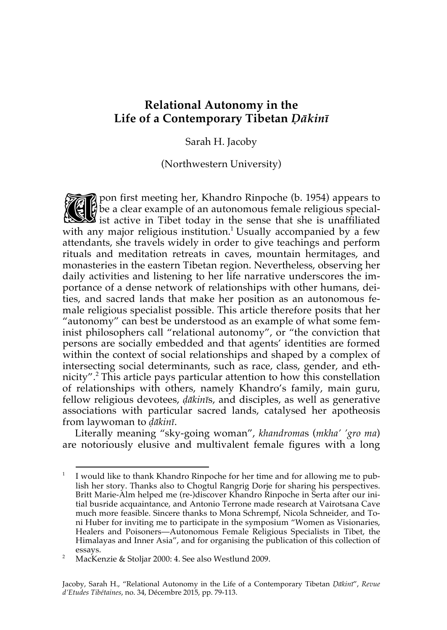# **Relational Autonomy in the Life of a Contemporary Tibetan** *Ḍākinī*

Sarah H. Jacoby

(Northwestern University)

pon first meeting her, Khandro Rinpoche (b. 1954) appears to be a clear example of an autonomous female religious special-From first meeting her, Khandro Rinpoche (b. 1954) appears to<br>list active in Tibet today in the sense that she is unaffiliated<br>with any major religious institution  $\frac{1 \text{ U} \text{u} \cdot \text{u}}{1 \text{ U} \text{u} \cdot \text{u}}$  accompanied by with any major religious institution.<sup>1</sup> Usually accompanied by a few attendants, she travels widely in order to give teachings and perform rituals and meditation retreats in caves, mountain hermitages, and monasteries in the eastern Tibetan region. Nevertheless, observing her daily activities and listening to her life narrative underscores the importance of a dense network of relationships with other humans, deities, and sacred lands that make her position as an autonomous female religious specialist possible. This article therefore posits that her "autonomy" can best be understood as an example of what some feminist philosophers call "relational autonomy", or "the conviction that persons are socially embedded and that agents' identities are formed within the context of social relationships and shaped by a complex of intersecting social determinants, such as race, class, gender, and ethnicity". <sup>2</sup> This article pays particular attention to how this constellation of relationships with others, namely Khandro's family, main guru, fellow religious devotees, *ḍākinī*s, and disciples, as well as generative associations with particular sacred lands, catalysed her apotheosis from laywoman to *ḍākinī*.

Literally meaning "sky-going woman", *khandroma*s (*mkha' 'gro ma*) are notoriously elusive and multivalent female figures with a long

<sup>&</sup>lt;sup>1</sup> I would like to thank Khandro Rinpoche for her time and for allowing me to publish her story. Thanks also to Chogtul Rangrig Dorje for sharing his perspectives. Britt Marie-Alm helped me (re-)discover Khandro Rinpoche in Serta after our initial busride acquaintance, and Antonio Terrone made research at Vairotsana Cave much more feasible. Sincere thanks to Mona Schrempf, Nicola Schneider, and Toni Huber for inviting me to participate in the symposium "Women as Visionaries, Healers and Poisoners—Autonomous Female Religious Specialists in Tibet, the Himalayas and Inner Asia", and for organising the publication of this collection of essays.

<sup>&</sup>lt;sup>2</sup> MacKenzie & Stoljar 2000: 4. See also Westlund 2009.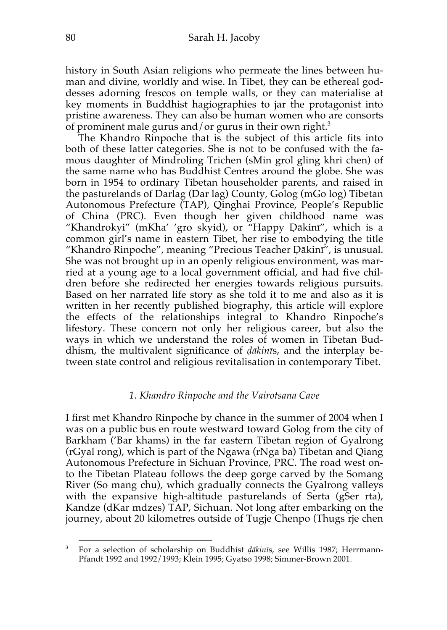history in South Asian religions who permeate the lines between human and divine, worldly and wise. In Tibet, they can be ethereal goddesses adorning frescos on temple walls, or they can materialise at key moments in Buddhist hagiographies to jar the protagonist into pristine awareness. They can also be human women who are consorts of prominent male gurus and/or gurus in their own right.<sup>3</sup>

The Khandro Rinpoche that is the subject of this article fits into both of these latter categories. She is not to be confused with the famous daughter of Mindroling Trichen (sMin grol gling khri chen) of the same name who has Buddhist Centres around the globe. She was born in 1954 to ordinary Tibetan householder parents, and raised in the pasturelands of Darlag (Dar lag) County, Golog (mGo log) Tibetan Autonomous Prefecture (TAP), Qinghai Province, People's Republic of China (PRC). Even though her given childhood name was "Khandrokyi" (mKha' 'gro skyid), or "Happy Ḍākinī", which is a common girl's name in eastern Tibet, her rise to embodying the title "Khandro Rinpoche", meaning "Precious Teacher Ḍākinī", is unusual. She was not brought up in an openly religious environment, was married at a young age to a local government official, and had five children before she redirected her energies towards religious pursuits. Based on her narrated life story as she told it to me and also as it is written in her recently published biography, this article will explore the effects of the relationships integral to Khandro Rinpoche's lifestory. These concern not only her religious career, but also the ways in which we understand the roles of women in Tibetan Buddhism, the multivalent significance of *ḍākinī*s, and the interplay between state control and religious revitalisation in contemporary Tibet.

### *1. Khandro Rinpoche and the Vairotsana Cave*

I first met Khandro Rinpoche by chance in the summer of 2004 when I was on a public bus en route westward toward Golog from the city of Barkham ('Bar khams) in the far eastern Tibetan region of Gyalrong (rGyal rong), which is part of the Ngawa (rNga ba) Tibetan and Qiang Autonomous Prefecture in Sichuan Province, PRC. The road west onto the Tibetan Plateau follows the deep gorge carved by the Somang River (So mang chu), which gradually connects the Gyalrong valleys with the expansive high-altitude pasturelands of Serta (gSer rta), Kandze (dKar mdzes) TAP, Sichuan. Not long after embarking on the journey, about 20 kilometres outside of Tugje Chenpo (Thugs rje chen

 <sup>3</sup> For a selection of scholarship on Buddhist *ḍākinī*s, see Willis 1987; Herrmann-Pfandt 1992 and 1992/1993; Klein 1995; Gyatso 1998; Simmer-Brown 2001.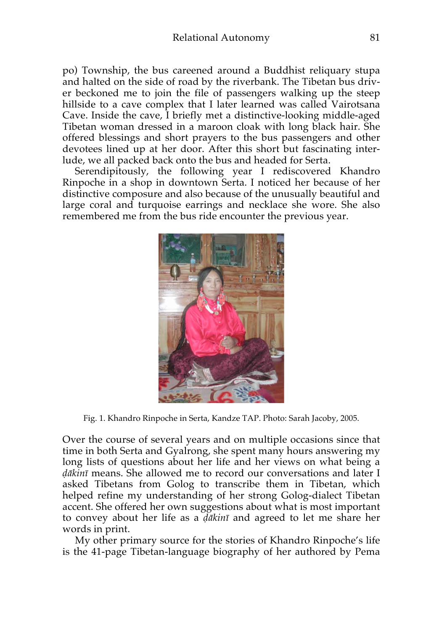po) Township, the bus careened around a Buddhist reliquary stupa and halted on the side of road by the riverbank. The Tibetan bus driver beckoned me to join the file of passengers walking up the steep hillside to a cave complex that I later learned was called Vairotsana Cave. Inside the cave, I briefly met a distinctive-looking middle-aged Tibetan woman dressed in a maroon cloak with long black hair. She offered blessings and short prayers to the bus passengers and other devotees lined up at her door. After this short but fascinating interlude, we all packed back onto the bus and headed for Serta.

Serendipitously, the following year I rediscovered Khandro Rinpoche in a shop in downtown Serta. I noticed her because of her distinctive composure and also because of the unusually beautiful and large coral and turquoise earrings and necklace she wore. She also remembered me from the bus ride encounter the previous year.



Fig. 1. Khandro Rinpoche in Serta, Kandze TAP. Photo: Sarah Jacoby, 2005.

Over the course of several years and on multiple occasions since that time in both Serta and Gyalrong, she spent many hours answering my long lists of questions about her life and her views on what being a *ḍākinī* means. She allowed me to record our conversations and later I asked Tibetans from Golog to transcribe them in Tibetan, which helped refine my understanding of her strong Golog-dialect Tibetan accent. She offered her own suggestions about what is most important to convey about her life as a *ḍākinī* and agreed to let me share her words in print.

My other primary source for the stories of Khandro Rinpoche's life is the 41-page Tibetan-language biography of her authored by Pema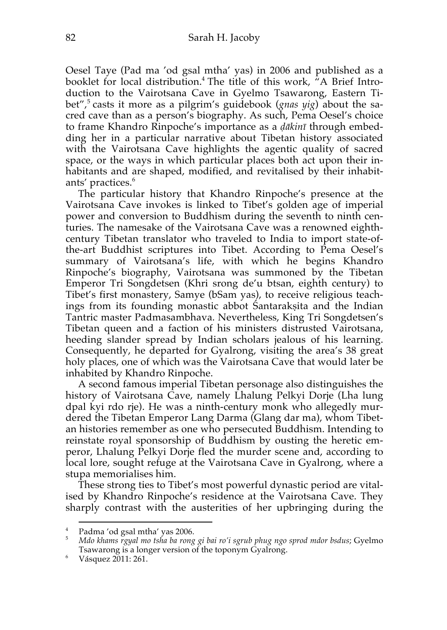Oesel Taye (Pad ma 'od gsal mtha' yas) in 2006 and published as a booklet for local distribution.4 The title of this work, "A Brief Introduction to the Vairotsana Cave in Gyelmo Tsawarong, Eastern Tibet", <sup>5</sup> casts it more as a pilgrim's guidebook (*gnas yig*) about the sacred cave than as a person's biography. As such, Pema Oesel's choice to frame Khandro Rinpoche's importance as a *ḍākinī* through embedding her in a particular narrative about Tibetan history associated with the Vairotsana Cave highlights the agentic quality of sacred space, or the ways in which particular places both act upon their inhabitants and are shaped, modified, and revitalised by their inhabitants' practices.<sup>6</sup>

The particular history that Khandro Rinpoche's presence at the Vairotsana Cave invokes is linked to Tibet's golden age of imperial power and conversion to Buddhism during the seventh to ninth centuries. The namesake of the Vairotsana Cave was a renowned eighthcentury Tibetan translator who traveled to India to import state-ofthe-art Buddhist scriptures into Tibet. According to Pema Oesel's summary of Vairotsana's life, with which he begins Khandro Rinpoche's biography, Vairotsana was summoned by the Tibetan Emperor Tri Songdetsen (Khri srong de'u btsan, eighth century) to Tibet's first monastery, Samye (bSam yas), to receive religious teachings from its founding monastic abbot Śantarakṣita and the Indian Tantric master Padmasambhava. Nevertheless, King Tri Songdetsen's Tibetan queen and a faction of his ministers distrusted Vairotsana, heeding slander spread by Indian scholars jealous of his learning. Consequently, he departed for Gyalrong, visiting the area's 38 great holy places, one of which was the Vairotsana Cave that would later be inhabited by Khandro Rinpoche.

A second famous imperial Tibetan personage also distinguishes the history of Vairotsana Cave, namely Lhalung Pelkyi Dorje (Lha lung dpal kyi rdo rje). He was a ninth-century monk who allegedly murdered the Tibetan Emperor Lang Darma (Glang dar ma), whom Tibetan histories remember as one who persecuted Buddhism. Intending to reinstate royal sponsorship of Buddhism by ousting the heretic emperor, Lhalung Pelkyi Dorje fled the murder scene and, according to local lore, sought refuge at the Vairotsana Cave in Gyalrong, where a stupa memorialises him.

These strong ties to Tibet's most powerful dynastic period are vitalised by Khandro Rinpoche's residence at the Vairotsana Cave. They sharply contrast with the austerities of her upbringing during the

 <sup>4</sup> Padma 'od gsal mtha' yas 2006.

<sup>5</sup> *Mdo khams rgyal mo tsha ba rong gi bai ro'i sgrub phug ngo sprod mdor bsdus*; Gyelmo Tsawarong is a longer version of the toponym Gyalrong.

 $6$  Vásquez 2011: 261.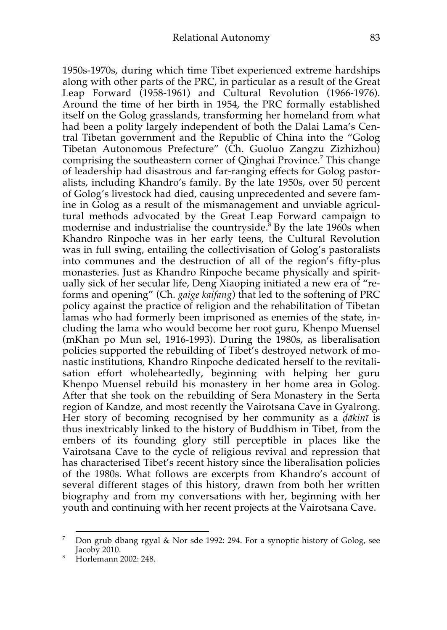1950s-1970s, during which time Tibet experienced extreme hardships along with other parts of the PRC, in particular as a result of the Great Leap Forward (1958-1961) and Cultural Revolution (1966-1976). Around the time of her birth in 1954, the PRC formally established itself on the Golog grasslands, transforming her homeland from what had been a polity largely independent of both the Dalai Lama's Central Tibetan government and the Republic of China into the "Golog Tibetan Autonomous Prefecture" (Ch. Guoluo Zangzu Zizhizhou) comprising the southeastern corner of Qinghai Province. <sup>7</sup> This change of leadership had disastrous and far-ranging effects for Golog pastoralists, including Khandro's family. By the late 1950s, over 50 percent of Golog's livestock had died, causing unprecedented and severe famine in Golog as a result of the mismanagement and unviable agricultural methods advocated by the Great Leap Forward campaign to modernise and industrialise the countryside.<sup>8</sup> By the late 1960s when Khandro Rinpoche was in her early teens, the Cultural Revolution was in full swing, entailing the collectivisation of Golog's pastoralists into communes and the destruction of all of the region's fifty-plus monasteries. Just as Khandro Rinpoche became physically and spiritually sick of her secular life, Deng Xiaoping initiated a new era of "reforms and opening" (Ch. *gaige kaifang*) that led to the softening of PRC policy against the practice of religion and the rehabilitation of Tibetan lamas who had formerly been imprisoned as enemies of the state, including the lama who would become her root guru, Khenpo Muensel (mKhan po Mun sel, 1916-1993). During the 1980s, as liberalisation policies supported the rebuilding of Tibet's destroyed network of monastic institutions, Khandro Rinpoche dedicated herself to the revitalisation effort wholeheartedly, beginning with helping her guru Khenpo Muensel rebuild his monastery in her home area in Golog. After that she took on the rebuilding of Sera Monastery in the Serta region of Kandze, and most recently the Vairotsana Cave in Gyalrong. Her story of becoming recognised by her community as a *ḍākinī* is thus inextricably linked to the history of Buddhism in Tibet, from the embers of its founding glory still perceptible in places like the Vairotsana Cave to the cycle of religious revival and repression that has characterised Tibet's recent history since the liberalisation policies of the 1980s. What follows are excerpts from Khandro's account of several different stages of this history, drawn from both her written biography and from my conversations with her, beginning with her youth and continuing with her recent projects at the Vairotsana Cave.

 <sup>7</sup> Don grub dbang rgyal & Nor sde 1992: 294. For a synoptic history of Golog, see Jacoby 2010.

<sup>8</sup> Horlemann 2002: 248.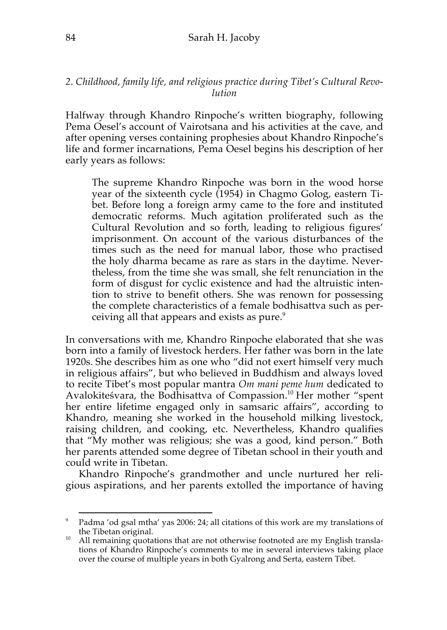## *2. Childhood, family life, and religious practice during Tibet's Cultural Revolution*

Halfway through Khandro Rinpoche's written biography, following Pema Oesel's account of Vairotsana and his activities at the cave, and after opening verses containing prophesies about Khandro Rinpoche's life and former incarnations, Pema Oesel begins his description of her early years as follows:

The supreme Khandro Rinpoche was born in the wood horse year of the sixteenth cycle (1954) in Chagmo Golog, eastern Tibet. Before long a foreign army came to the fore and instituted democratic reforms. Much agitation proliferated such as the Cultural Revolution and so forth, leading to religious figures' imprisonment. On account of the various disturbances of the times such as the need for manual labor, those who practised the holy dharma became as rare as stars in the daytime. Nevertheless, from the time she was small, she felt renunciation in the form of disgust for cyclic existence and had the altruistic intention to strive to benefit others. She was renown for possessing the complete characteristics of a female bodhisattva such as perceiving all that appears and exists as pure.<sup>9</sup>

In conversations with me, Khandro Rinpoche elaborated that she was born into a family of livestock herders. Her father was born in the late 1920s. She describes him as one who "did not exert himself very much in religious affairs", but who believed in Buddhism and always loved to recite Tibet's most popular mantra *Om mani peme hum* dedicated to Avalokiteśvara, the Bodhisattva of Compassion.10 Her mother "spent her entire lifetime engaged only in samsaric affairs", according to Khandro, meaning she worked in the household milking livestock, raising children, and cooking, etc. Nevertheless, Khandro qualifies that "My mother was religious; she was a good, kind person." Both her parents attended some degree of Tibetan school in their youth and could write in Tibetan.

Khandro Rinpoche's grandmother and uncle nurtured her religious aspirations, and her parents extolled the importance of having

Padma 'od gsal mtha' yas 2006: 24; all citations of this work are my translations of the Tibetan original.

 $t_0$  All remaining quotations that are not otherwise footnoted are my English translations of Khandro Rinpoche's comments to me in several interviews taking place over the course of multiple years in both Gyalrong and Serta, eastern Tibet.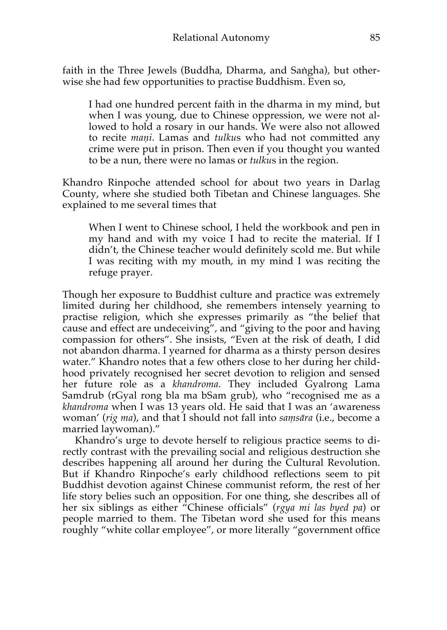faith in the Three Jewels (Buddha, Dharma, and Saṅgha), but otherwise she had few opportunities to practise Buddhism. Even so,

I had one hundred percent faith in the dharma in my mind, but when I was young, due to Chinese oppression, we were not allowed to hold a rosary in our hands. We were also not allowed to recite *maṇi*. Lamas and *tulku*s who had not committed any crime were put in prison. Then even if you thought you wanted to be a nun, there were no lamas or *tulku*s in the region.

Khandro Rinpoche attended school for about two years in Darlag County, where she studied both Tibetan and Chinese languages. She explained to me several times that

When I went to Chinese school, I held the workbook and pen in my hand and with my voice I had to recite the material. If I didn't, the Chinese teacher would definitely scold me. But while I was reciting with my mouth, in my mind I was reciting the refuge prayer.

Though her exposure to Buddhist culture and practice was extremely limited during her childhood, she remembers intensely yearning to practise religion, which she expresses primarily as "the belief that cause and effect are undeceiving", and "giving to the poor and having compassion for others". She insists, "Even at the risk of death, I did not abandon dharma. I yearned for dharma as a thirsty person desires water." Khandro notes that a few others close to her during her childhood privately recognised her secret devotion to religion and sensed her future role as a *khandroma*. They included Gyalrong Lama Samdrub (rGyal rong bla ma bSam grub), who "recognised me as a *khandroma* when I was 13 years old. He said that I was an 'awareness woman' (*rig ma*), and that I should not fall into *saṃsāra* (i.e., become a married laywoman)."

Khandro's urge to devote herself to religious practice seems to directly contrast with the prevailing social and religious destruction she describes happening all around her during the Cultural Revolution. But if Khandro Rinpoche's early childhood reflections seem to pit Buddhist devotion against Chinese communist reform, the rest of her life story belies such an opposition. For one thing, she describes all of her six siblings as either "Chinese officials" (*rgya mi las byed pa*) or people married to them. The Tibetan word she used for this means roughly "white collar employee", or more literally "government office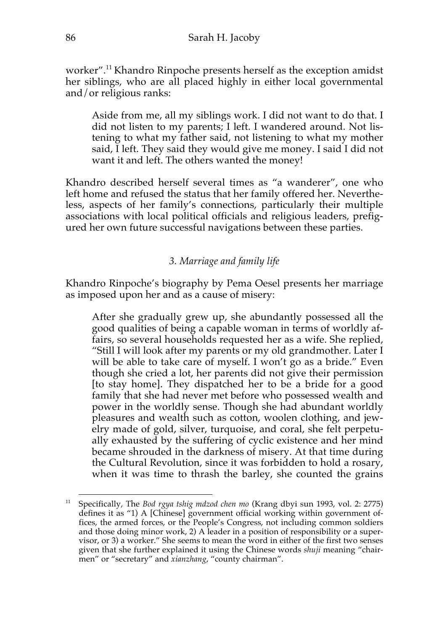worker". <sup>11</sup> Khandro Rinpoche presents herself as the exception amidst her siblings, who are all placed highly in either local governmental and/or religious ranks:

Aside from me, all my siblings work. I did not want to do that. I did not listen to my parents; I left. I wandered around. Not listening to what my father said, not listening to what my mother said, I left. They said they would give me money. I said I did not want it and left. The others wanted the money!

Khandro described herself several times as "a wanderer", one who left home and refused the status that her family offered her. Nevertheless, aspects of her family's connections, particularly their multiple associations with local political officials and religious leaders, prefigured her own future successful navigations between these parties.

# *3. Marriage and family life*

Khandro Rinpoche's biography by Pema Oesel presents her marriage as imposed upon her and as a cause of misery:

After she gradually grew up, she abundantly possessed all the good qualities of being a capable woman in terms of worldly affairs, so several households requested her as a wife. She replied, "Still I will look after my parents or my old grandmother. Later I will be able to take care of myself. I won't go as a bride." Even though she cried a lot, her parents did not give their permission [to stay home]. They dispatched her to be a bride for a good family that she had never met before who possessed wealth and power in the worldly sense. Though she had abundant worldly pleasures and wealth such as cotton, woolen clothing, and jewelry made of gold, silver, turquoise, and coral, she felt perpetually exhausted by the suffering of cyclic existence and her mind became shrouded in the darkness of misery. At that time during the Cultural Revolution, since it was forbidden to hold a rosary, when it was time to thrash the barley, she counted the grains

 <sup>11</sup> Specifically, The *Bod rgya tshig mdzod chen mo* (Krang dbyi sun 1993, vol. 2: 2775) defines it as "1) A [Chinese] government official working within government offices, the armed forces, or the People's Congress, not including common soldiers and those doing minor work, 2) A leader in a position of responsibility or a supervisor, or 3) a worker." She seems to mean the word in either of the first two senses given that she further explained it using the Chinese words *shuji* meaning "chairmen" or "secretary" and *xianzhang*, "county chairman".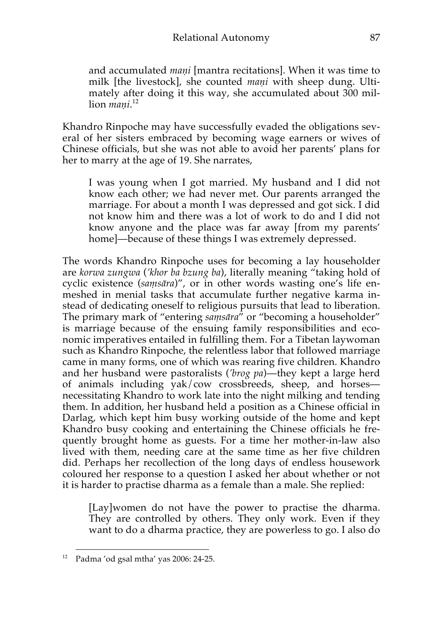and accumulated *maṇi* [mantra recitations]. When it was time to milk [the livestock], she counted *maṇi* with sheep dung. Ultimately after doing it this way, she accumulated about 300 million *maṇi*. 12

Khandro Rinpoche may have successfully evaded the obligations several of her sisters embraced by becoming wage earners or wives of Chinese officials, but she was not able to avoid her parents' plans for her to marry at the age of 19. She narrates,

I was young when I got married. My husband and I did not know each other; we had never met. Our parents arranged the marriage. For about a month I was depressed and got sick. I did not know him and there was a lot of work to do and I did not know anyone and the place was far away [from my parents' home]—because of these things I was extremely depressed.

The words Khandro Rinpoche uses for becoming a lay householder are *korwa zungwa* (*'khor ba bzung ba*), literally meaning "taking hold of cyclic existence (*saṃsāra*)", or in other words wasting one's life enmeshed in menial tasks that accumulate further negative karma instead of dedicating oneself to religious pursuits that lead to liberation. The primary mark of "entering *samsāra*" or "becoming a householder" is marriage because of the ensuing family responsibilities and economic imperatives entailed in fulfilling them. For a Tibetan laywoman such as Khandro Rinpoche, the relentless labor that followed marriage came in many forms, one of which was rearing five children. Khandro and her husband were pastoralists (*'brog pa*)—they kept a large herd of animals including yak/cow crossbreeds, sheep, and horses necessitating Khandro to work late into the night milking and tending them. In addition, her husband held a position as a Chinese official in Darlag, which kept him busy working outside of the home and kept Khandro busy cooking and entertaining the Chinese officials he frequently brought home as guests. For a time her mother-in-law also lived with them, needing care at the same time as her five children did. Perhaps her recollection of the long days of endless housework coloured her response to a question I asked her about whether or not it is harder to practise dharma as a female than a male. She replied:

[Lay]women do not have the power to practise the dharma. They are controlled by others. They only work. Even if they want to do a dharma practice, they are powerless to go. I also do

 <sup>12</sup> Padma 'od gsal mtha' yas 2006: 24-25.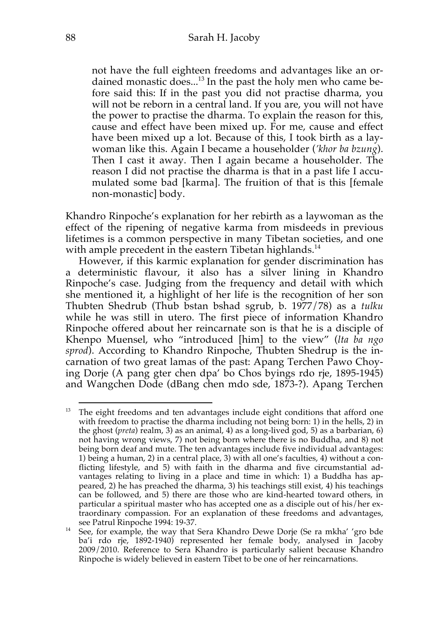not have the full eighteen freedoms and advantages like an ordained monastic does... <sup>13</sup> In the past the holy men who came before said this: If in the past you did not practise dharma, you will not be reborn in a central land. If you are, you will not have the power to practise the dharma. To explain the reason for this, cause and effect have been mixed up. For me, cause and effect have been mixed up a lot. Because of this, I took birth as a laywoman like this. Again I became a householder (*'khor ba bzung*). Then I cast it away. Then I again became a householder. The reason I did not practise the dharma is that in a past life I accumulated some bad [karma]. The fruition of that is this [female non-monastic] body.

Khandro Rinpoche's explanation for her rebirth as a laywoman as the effect of the ripening of negative karma from misdeeds in previous lifetimes is a common perspective in many Tibetan societies, and one with ample precedent in the eastern Tibetan highlands.<sup>14</sup>

However, if this karmic explanation for gender discrimination has a deterministic flavour, it also has a silver lining in Khandro Rinpoche's case. Judging from the frequency and detail with which she mentioned it, a highlight of her life is the recognition of her son Thubten Shedrub (Thub bstan bshad sgrub, b. 1977/78) as a *tulku* while he was still in utero. The first piece of information Khandro Rinpoche offered about her reincarnate son is that he is a disciple of Khenpo Muensel, who "introduced [him] to the view" (*lta ba ngo sprod*). According to Khandro Rinpoche, Thubten Shedrup is the incarnation of two great lamas of the past: Apang Terchen Pawo Choying Dorje (A pang gter chen dpa' bo Chos byings rdo rje, 1895-1945) and Wangchen Dode (dBang chen mdo sde, 1873-?). Apang Terchen

<sup>&</sup>lt;sup>13</sup> The eight freedoms and ten advantages include eight conditions that afford one with freedom to practise the dharma including not being born: 1) in the hells, 2) in the ghost (*preta*) realm, 3) as an animal, 4) as a long-lived god, 5) as a barbarian, 6) not having wrong views, 7) not being born where there is no Buddha, and 8) not being born deaf and mute. The ten advantages include five individual advantages: 1) being a human, 2) in a central place, 3) with all one's faculties, 4) without a conflicting lifestyle, and 5) with faith in the dharma and five circumstantial advantages relating to living in a place and time in which: 1) a Buddha has appeared, 2) he has preached the dharma, 3) his teachings still exist, 4) his teachings can be followed, and 5) there are those who are kind-hearted toward others, in particular a spiritual master who has accepted one as a disciple out of his/her extraordinary compassion. For an explanation of these freedoms and advantages,

see Patrul Rinpoche 1994: 19-37.<br><sup>14</sup> See, for example, the way that Sera Khandro Dewe Dorje (Se ra mkha' 'gro bde ba'i rdo rje, 1892-1940) represented her female body, analysed in Jacoby 2009/2010. Reference to Sera Khandro is particularly salient because Khandro Rinpoche is widely believed in eastern Tibet to be one of her reincarnations.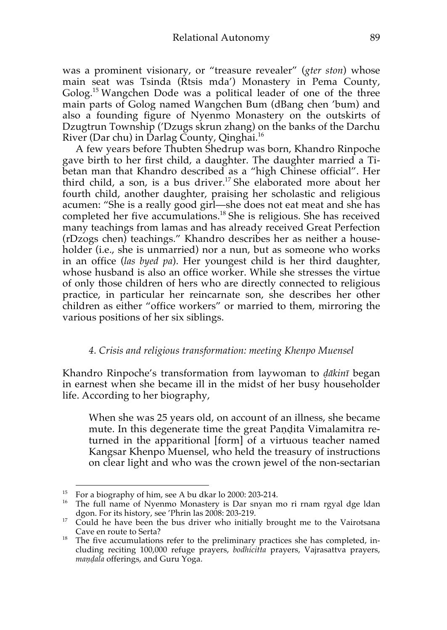was a prominent visionary, or "treasure revealer" (*gter ston*) whose main seat was Tsinda (Rtsis mda') Monastery in Pema County, Golog. <sup>15</sup> Wangchen Dode was a political leader of one of the three main parts of Golog named Wangchen Bum (dBang chen 'bum) and also a founding figure of Nyenmo Monastery on the outskirts of Dzugtrun Township ('Dzugs skrun zhang) on the banks of the Darchu River (Dar chu) in Darlag County, Qinghai.<sup>16</sup>

A few years before Thubten Shedrup was born, Khandro Rinpoche gave birth to her first child, a daughter. The daughter married a Tibetan man that Khandro described as a "high Chinese official". Her third child, a son, is a bus driver. <sup>17</sup> She elaborated more about her fourth child, another daughter, praising her scholastic and religious acumen: "She is a really good girl—she does not eat meat and she has completed her five accumulations.<sup>18</sup> She is religious. She has received many teachings from lamas and has already received Great Perfection (rDzogs chen) teachings." Khandro describes her as neither a householder (i.e., she is unmarried) nor a nun, but as someone who works in an office (*las byed pa*). Her youngest child is her third daughter, whose husband is also an office worker. While she stresses the virtue of only those children of hers who are directly connected to religious practice, in particular her reincarnate son, she describes her other children as either "office workers" or married to them, mirroring the various positions of her six siblings.

### *4. Crisis and religious transformation: meeting Khenpo Muensel*

Khandro Rinpoche's transformation from laywoman to *ḍākinī* began in earnest when she became ill in the midst of her busy householder life. According to her biography,

When she was 25 years old, on account of an illness, she became mute. In this degenerate time the great Paṇḍita Vimalamitra returned in the apparitional [form] of a virtuous teacher named Kangsar Khenpo Muensel, who held the treasury of instructions on clear light and who was the crown jewel of the non-sectarian

<sup>&</sup>lt;sup>15</sup> For a biography of him, see A bu dkar lo 2000: 203-214.<br><sup>16</sup> The full name of Nyenmo Monastery is Dar snyan mo ri rnam rgyal dge ldan dgon. For its history, see 'Phrin las 2008: 203-219.

 $\frac{d}{d}$  Could he have been the bus driver who initially brought me to the Vairotsana<br>Cave en route to Serta?

 $18$  The five accumulations refer to the preliminary practices she has completed, including reciting 100,000 refuge prayers, *bodhicitta* prayers, Vajrasattva prayers, *maṇḍala* offerings, and Guru Yoga.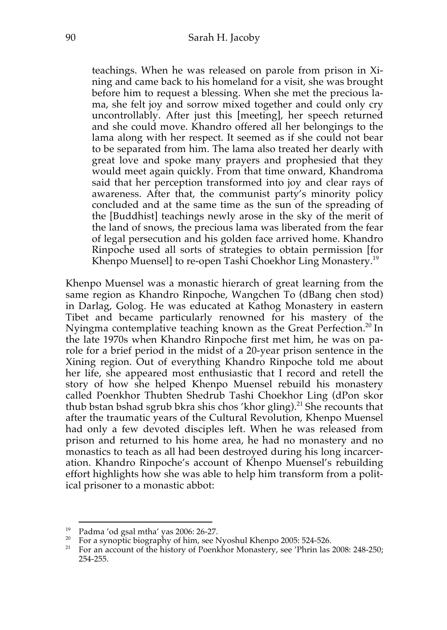teachings. When he was released on parole from prison in Xining and came back to his homeland for a visit, she was brought before him to request a blessing. When she met the precious lama, she felt joy and sorrow mixed together and could only cry uncontrollably. After just this [meeting], her speech returned and she could move. Khandro offered all her belongings to the lama along with her respect. It seemed as if she could not bear to be separated from him. The lama also treated her dearly with great love and spoke many prayers and prophesied that they would meet again quickly. From that time onward, Khandroma said that her perception transformed into joy and clear rays of awareness. After that, the communist party's minority policy concluded and at the same time as the sun of the spreading of the [Buddhist] teachings newly arose in the sky of the merit of the land of snows, the precious lama was liberated from the fear of legal persecution and his golden face arrived home. Khandro Rinpoche used all sorts of strategies to obtain permission [for Khenpo Muensell to re-open Tashi Choekhor Ling Monastery.<sup>19</sup>

Khenpo Muensel was a monastic hierarch of great learning from the same region as Khandro Rinpoche, Wangchen To (dBang chen stod) in Darlag, Golog. He was educated at Kathog Monastery in eastern Tibet and became particularly renowned for his mastery of the Nyingma contemplative teaching known as the Great Perfection.<sup>20</sup> In the late 1970s when Khandro Rinpoche first met him, he was on parole for a brief period in the midst of a 20-year prison sentence in the Xining region. Out of everything Khandro Rinpoche told me about her life, she appeared most enthusiastic that I record and retell the story of how she helped Khenpo Muensel rebuild his monastery called Poenkhor Thubten Shedrub Tashi Choekhor Ling (dPon skor thub bstan bshad sgrub bkra shis chos 'khor gling).<sup>21</sup> She recounts that after the traumatic years of the Cultural Revolution, Khenpo Muensel had only a few devoted disciples left. When he was released from prison and returned to his home area, he had no monastery and no monastics to teach as all had been destroyed during his long incarceration. Khandro Rinpoche's account of Khenpo Muensel's rebuilding effort highlights how she was able to help him transform from a political prisoner to a monastic abbot:

<sup>&</sup>lt;sup>19</sup> Padma 'od gsal mtha' yas 2006: 26-27.<br><sup>20</sup> For a synoptic biography of him, see Nyoshul Khenpo 2005: 524-526.

<sup>&</sup>lt;sup>21</sup> For an account of the history of Poenkhor Monastery, see 'Phrin las 2008: 248-250; 254-255.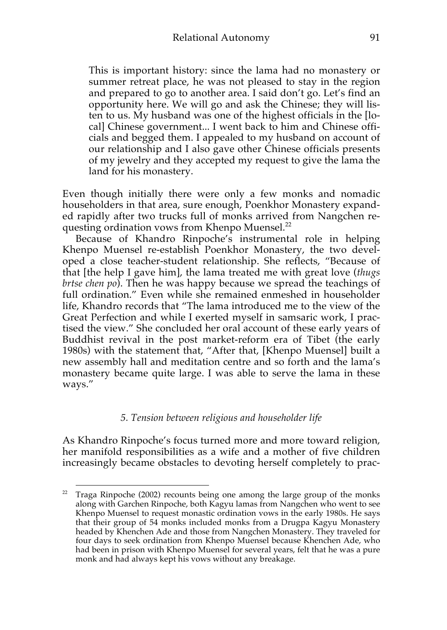This is important history: since the lama had no monastery or summer retreat place, he was not pleased to stay in the region and prepared to go to another area. I said don't go. Let's find an opportunity here. We will go and ask the Chinese; they will listen to us. My husband was one of the highest officials in the [local] Chinese government... I went back to him and Chinese officials and begged them. I appealed to my husband on account of our relationship and I also gave other Chinese officials presents of my jewelry and they accepted my request to give the lama the land for his monastery.

Even though initially there were only a few monks and nomadic householders in that area, sure enough, Poenkhor Monastery expanded rapidly after two trucks full of monks arrived from Nangchen requesting ordination vows from Khenpo Muensel.<sup>22</sup>

Because of Khandro Rinpoche's instrumental role in helping Khenpo Muensel re-establish Poenkhor Monastery, the two developed a close teacher-student relationship. She reflects, "Because of that [the help I gave him], the lama treated me with great love (*thugs brtse chen po*). Then he was happy because we spread the teachings of full ordination." Even while she remained enmeshed in householder life, Khandro records that "The lama introduced me to the view of the Great Perfection and while I exerted myself in samsaric work, I practised the view." She concluded her oral account of these early years of Buddhist revival in the post market-reform era of Tibet (the early 1980s) with the statement that, "After that, [Khenpo Muensel] built a new assembly hall and meditation centre and so forth and the lama's monastery became quite large. I was able to serve the lama in these ways."

#### *5. Tension between religious and householder life*

As Khandro Rinpoche's focus turned more and more toward religion, her manifold responsibilities as a wife and a mother of five children increasingly became obstacles to devoting herself completely to prac-

 $22$  Traga Rinpoche (2002) recounts being one among the large group of the monks along with Garchen Rinpoche, both Kagyu lamas from Nangchen who went to see Khenpo Muensel to request monastic ordination vows in the early 1980s. He says that their group of 54 monks included monks from a Drugpa Kagyu Monastery headed by Khenchen Ade and those from Nangchen Monastery. They traveled for four days to seek ordination from Khenpo Muensel because Khenchen Ade, who had been in prison with Khenpo Muensel for several years, felt that he was a pure monk and had always kept his vows without any breakage.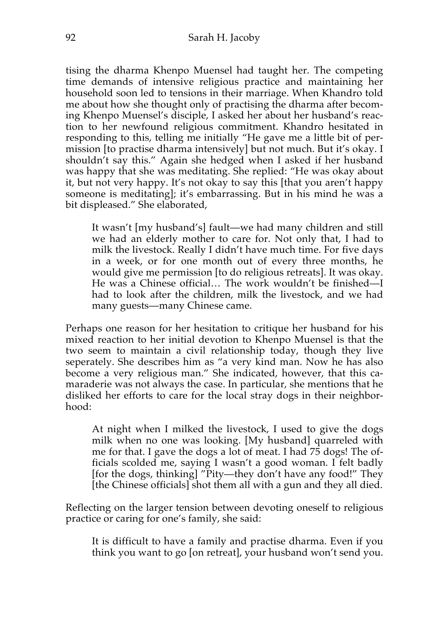tising the dharma Khenpo Muensel had taught her. The competing time demands of intensive religious practice and maintaining her household soon led to tensions in their marriage. When Khandro told me about how she thought only of practising the dharma after becoming Khenpo Muensel's disciple, I asked her about her husband's reaction to her newfound religious commitment. Khandro hesitated in responding to this, telling me initially "He gave me a little bit of permission [to practise dharma intensively] but not much. But it's okay. I shouldn't say this." Again she hedged when I asked if her husband was happy that she was meditating. She replied: "He was okay about it, but not very happy. It's not okay to say this [that you aren't happy someone is meditating]; it's embarrassing. But in his mind he was a bit displeased." She elaborated,

It wasn't [my husband's] fault—we had many children and still we had an elderly mother to care for. Not only that, I had to milk the livestock. Really I didn't have much time. For five days in a week, or for one month out of every three months, he would give me permission [to do religious retreats]. It was okay. He was a Chinese official… The work wouldn't be finished—I had to look after the children, milk the livestock, and we had many guests—many Chinese came.

Perhaps one reason for her hesitation to critique her husband for his mixed reaction to her initial devotion to Khenpo Muensel is that the two seem to maintain a civil relationship today, though they live seperately. She describes him as "a very kind man. Now he has also become a very religious man." She indicated, however, that this camaraderie was not always the case. In particular, she mentions that he disliked her efforts to care for the local stray dogs in their neighborhood:

At night when I milked the livestock, I used to give the dogs milk when no one was looking. [My husband] quarreled with me for that. I gave the dogs a lot of meat. I had 75 dogs! The officials scolded me, saying I wasn't a good woman. I felt badly [for the dogs, thinking] "Pity—they don't have any food!" They [the Chinese officials] shot them all with a gun and they all died.

Reflecting on the larger tension between devoting oneself to religious practice or caring for one's family, she said:

It is difficult to have a family and practise dharma. Even if you think you want to go [on retreat], your husband won't send you.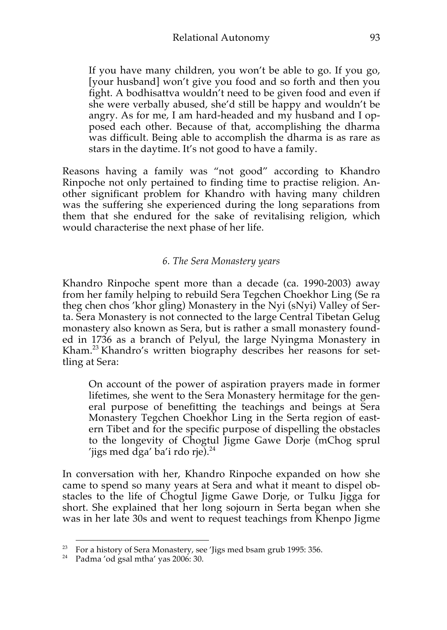If you have many children, you won't be able to go. If you go, [your husband] won't give you food and so forth and then you fight. A bodhisattva wouldn't need to be given food and even if she were verbally abused, she'd still be happy and wouldn't be angry. As for me, I am hard-headed and my husband and I opposed each other. Because of that, accomplishing the dharma was difficult. Being able to accomplish the dharma is as rare as stars in the daytime. It's not good to have a family.

Reasons having a family was "not good" according to Khandro Rinpoche not only pertained to finding time to practise religion. Another significant problem for Khandro with having many children was the suffering she experienced during the long separations from them that she endured for the sake of revitalising religion, which would characterise the next phase of her life.

# *6. The Sera Monastery years*

Khandro Rinpoche spent more than a decade (ca. 1990-2003) away from her family helping to rebuild Sera Tegchen Choekhor Ling (Se ra theg chen chos 'khor gling) Monastery in the Nyi (sNyi) Valley of Serta. Sera Monastery is not connected to the large Central Tibetan Gelug monastery also known as Sera, but is rather a small monastery founded in 1736 as a branch of Pelyul, the large Nyingma Monastery in Kham.<sup>23</sup> Khandro's written biography describes her reasons for settling at Sera:

On account of the power of aspiration prayers made in former lifetimes, she went to the Sera Monastery hermitage for the general purpose of benefitting the teachings and beings at Sera Monastery Tegchen Choekhor Ling in the Serta region of eastern Tibet and for the specific purpose of dispelling the obstacles to the longevity of Chogtul Jigme Gawe Dorje (mChog sprul 'jigs med dga' ba'i rdo rje). $^{24}$ 

In conversation with her, Khandro Rinpoche expanded on how she came to spend so many years at Sera and what it meant to dispel obstacles to the life of Chogtul Jigme Gawe Dorje, or Tulku Jigga for short. She explained that her long sojourn in Serta began when she was in her late 30s and went to request teachings from Khenpo Jigme

<sup>&</sup>lt;sup>23</sup> For a history of Sera Monastery, see 'Jigs med bsam grub 1995: 356.

<sup>24</sup> Padma 'od gsal mtha' yas 2006: 30.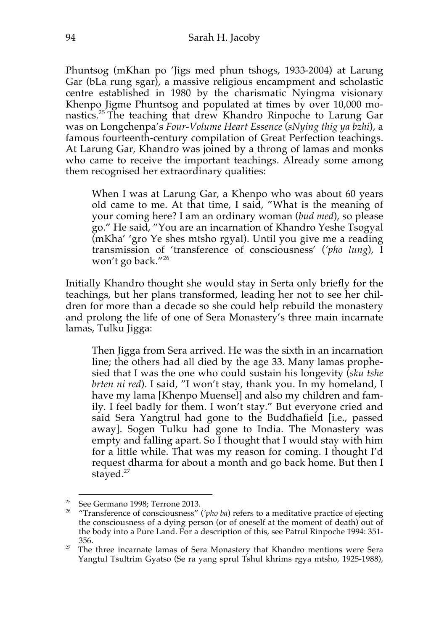Phuntsog (mKhan po 'Jigs med phun tshogs, 1933-2004) at Larung Gar (bLa rung sgar), a massive religious encampment and scholastic centre established in 1980 by the charismatic Nyingma visionary Khenpo Jigme Phuntsog and populated at times by over 10,000 monastics.<sup>25</sup> The teaching that drew Khandro Rinpoche to Larung Gar was on Longchenpa's *Four-Volume Heart Essence* (*sNying thig ya bzhi*), a famous fourteenth-century compilation of Great Perfection teachings. At Larung Gar, Khandro was joined by a throng of lamas and monks who came to receive the important teachings. Already some among them recognised her extraordinary qualities:

When I was at Larung Gar, a Khenpo who was about 60 years old came to me. At that time, I said, "What is the meaning of your coming here? I am an ordinary woman (*bud med*), so please go." He said, "You are an incarnation of Khandro Yeshe Tsogyal (mKha' 'gro Ye shes mtsho rgyal). Until you give me a reading transmission of 'transference of consciousness' (*'pho lung*), I won't go back."<sup>26</sup>

Initially Khandro thought she would stay in Serta only briefly for the teachings, but her plans transformed, leading her not to see her children for more than a decade so she could help rebuild the monastery and prolong the life of one of Sera Monastery's three main incarnate lamas, Tulku Jigga:

Then Jigga from Sera arrived. He was the sixth in an incarnation line; the others had all died by the age 33. Many lamas prophesied that I was the one who could sustain his longevity (*sku tshe brten ni red*). I said, "I won't stay, thank you. In my homeland, I have my lama [Khenpo Muensel] and also my children and family. I feel badly for them. I won't stay." But everyone cried and said Sera Yangtrul had gone to the Buddhafield [i.e., passed away]. Sogen Tulku had gone to India. The Monastery was empty and falling apart. So I thought that I would stay with him for a little while. That was my reason for coming. I thought I'd request dharma for about a month and go back home. But then I stayed.<sup>27</sup>

<sup>25</sup> See Germano 1998; Terrone 2013. 26 "Transference of consciousness" (*'pho ba*) refers to a meditative practice of ejecting the consciousness of a dying person (or of oneself at the moment of death) out of the body into a Pure Land. For a description of this, see Patrul Rinpoche 1994: 351- 356.

 $27$  The three incarnate lamas of Sera Monastery that Khandro mentions were Sera Yangtul Tsultrim Gyatso (Se ra yang sprul Tshul khrims rgya mtsho, 1925-1988),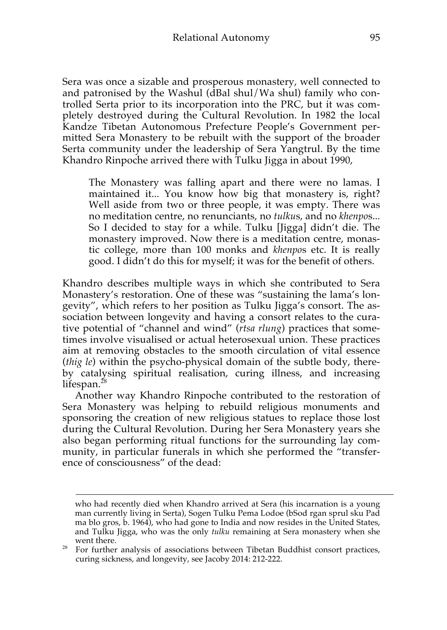Sera was once a sizable and prosperous monastery, well connected to and patronised by the Washul (dBal shul/Wa shul) family who controlled Serta prior to its incorporation into the PRC, but it was completely destroyed during the Cultural Revolution. In 1982 the local Kandze Tibetan Autonomous Prefecture People's Government permitted Sera Monastery to be rebuilt with the support of the broader Serta community under the leadership of Sera Yangtrul. By the time Khandro Rinpoche arrived there with Tulku Jigga in about 1990,

The Monastery was falling apart and there were no lamas. I maintained it... You know how big that monastery is, right? Well aside from two or three people, it was empty. There was no meditation centre, no renunciants, no *tulku*s, and no *khenpo*s... So I decided to stay for a while. Tulku [Jigga] didn't die. The monastery improved. Now there is a meditation centre, monastic college, more than 100 monks and *khenpo*s etc. It is really good. I didn't do this for myself; it was for the benefit of others.

Khandro describes multiple ways in which she contributed to Sera Monastery's restoration. One of these was "sustaining the lama's longevity", which refers to her position as Tulku Jigga's consort. The association between longevity and having a consort relates to the curative potential of "channel and wind" (*rtsa rlung*) practices that sometimes involve visualised or actual heterosexual union. These practices aim at removing obstacles to the smooth circulation of vital essence (*thig le*) within the psycho-physical domain of the subtle body, thereby catalysing spiritual realisation, curing illness, and increasing lifespan. 28

Another way Khandro Rinpoche contributed to the restoration of Sera Monastery was helping to rebuild religious monuments and sponsoring the creation of new religious statues to replace those lost during the Cultural Revolution. During her Sera Monastery years she also began performing ritual functions for the surrounding lay community, in particular funerals in which she performed the "transference of consciousness" of the dead:

who had recently died when Khandro arrived at Sera (his incarnation is a young man currently living in Serta), Sogen Tulku Pema Lodoe (bSod rgan sprul sku Pad ma blo gros, b. 1964), who had gone to India and now resides in the United States, and Tulku Jigga, who was the only *tulku* remaining at Sera monastery when she

For further analysis of associations between Tibetan Buddhist consort practices, curing sickness, and longevity, see Jacoby 2014: 212-222.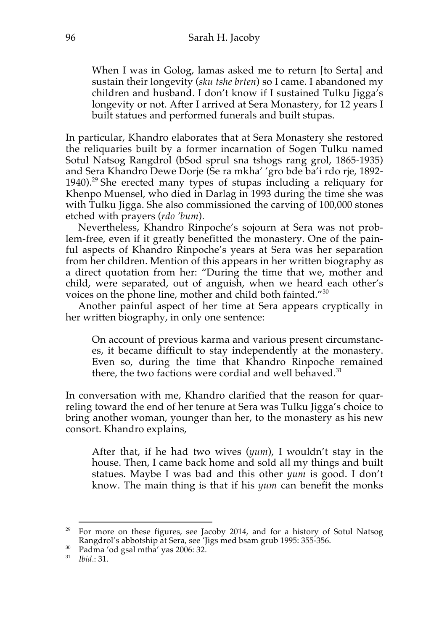When I was in Golog, lamas asked me to return [to Serta] and sustain their longevity (*sku tshe brten*) so I came. I abandoned my children and husband. I don't know if I sustained Tulku Jigga's longevity or not. After I arrived at Sera Monastery, for 12 years I built statues and performed funerals and built stupas.

In particular, Khandro elaborates that at Sera Monastery she restored the reliquaries built by a former incarnation of Sogen Tulku named Sotul Natsog Rangdrol (bSod sprul sna tshogs rang grol, 1865-1935) and Sera Khandro Dewe Dorje (Se ra mkha' 'gro bde ba'i rdo rje, 1892- 1940).<sup>29</sup> She erected many types of stupas including a reliquary for Khenpo Muensel, who died in Darlag in 1993 during the time she was with Tulku Jigga. She also commissioned the carving of 100,000 stones etched with prayers (*rdo 'bum*).

Nevertheless, Khandro Rinpoche's sojourn at Sera was not problem-free, even if it greatly benefitted the monastery. One of the painful aspects of Khandro Rinpoche's years at Sera was her separation from her children. Mention of this appears in her written biography as a direct quotation from her: "During the time that we, mother and child, were separated, out of anguish, when we heard each other's voices on the phone line, mother and child both fainted."<sup>30</sup>

Another painful aspect of her time at Sera appears cryptically in her written biography, in only one sentence:

On account of previous karma and various present circumstances, it became difficult to stay independently at the monastery. Even so, during the time that Khandro Rinpoche remained there, the two factions were cordial and well behaved. $31$ 

In conversation with me, Khandro clarified that the reason for quarreling toward the end of her tenure at Sera was Tulku Jigga's choice to bring another woman, younger than her, to the monastery as his new consort. Khandro explains,

After that, if he had two wives (*yum*), I wouldn't stay in the house. Then, I came back home and sold all my things and built statues. Maybe I was bad and this other *yum* is good. I don't know. The main thing is that if his *yum* can benefit the monks

<sup>&</sup>lt;sup>29</sup> For more on these figures, see Jacoby 2014, and for a history of Sotul Natsog Rangdrol's abbotship at Sera, see 'Jigs med bsam grub 1995: 355-356.

<sup>&</sup>lt;sup>30</sup> Padma 'od gsal mtha' yas 2006: 32.

<sup>31</sup> *Ibid*.: 31.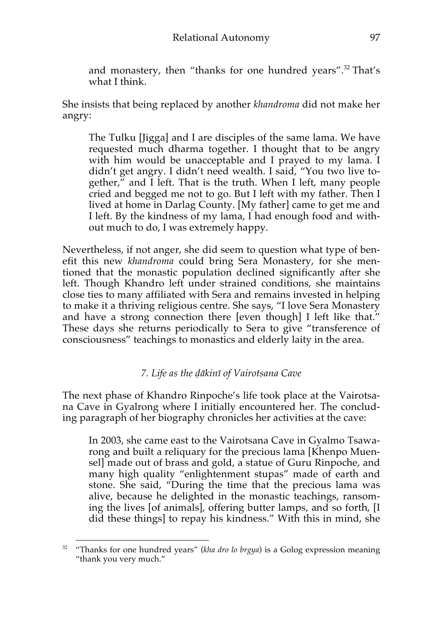and monastery, then "thanks for one hundred years".<sup>32</sup> That's what I think.

She insists that being replaced by another *khandroma* did not make her angry:

The Tulku [Jigga] and I are disciples of the same lama. We have requested much dharma together. I thought that to be angry with him would be unacceptable and I prayed to my lama. I didn't get angry. I didn't need wealth. I said, "You two live together," and I left. That is the truth. When I left, many people cried and begged me not to go. But I left with my father. Then I lived at home in Darlag County. [My father] came to get me and I left. By the kindness of my lama, I had enough food and without much to do, I was extremely happy.

Nevertheless, if not anger, she did seem to question what type of benefit this new *khandroma* could bring Sera Monastery, for she mentioned that the monastic population declined significantly after she left. Though Khandro left under strained conditions, she maintains close ties to many affiliated with Sera and remains invested in helping to make it a thriving religious centre. She says, "I love Sera Monastery and have a strong connection there [even though] I left like that." These days she returns periodically to Sera to give "transference of consciousness" teachings to monastics and elderly laity in the area.

# *7. Life as the ḍākinī of Vairotsana Cave*

The next phase of Khandro Rinpoche's life took place at the Vairotsana Cave in Gyalrong where I initially encountered her. The concluding paragraph of her biography chronicles her activities at the cave:

In 2003, she came east to the Vairotsana Cave in Gyalmo Tsawarong and built a reliquary for the precious lama [Khenpo Muensel] made out of brass and gold, a statue of Guru Rinpoche, and many high quality "enlightenment stupas" made of earth and stone. She said, "During the time that the precious lama was alive, because he delighted in the monastic teachings, ransoming the lives [of animals], offering butter lamps, and so forth, [I did these things] to repay his kindness." With this in mind, she

<sup>&</sup>lt;sup>32</sup> "Thanks for one hundred years" (*kha dro lo brgya*) is a Golog expression meaning "thank you very much."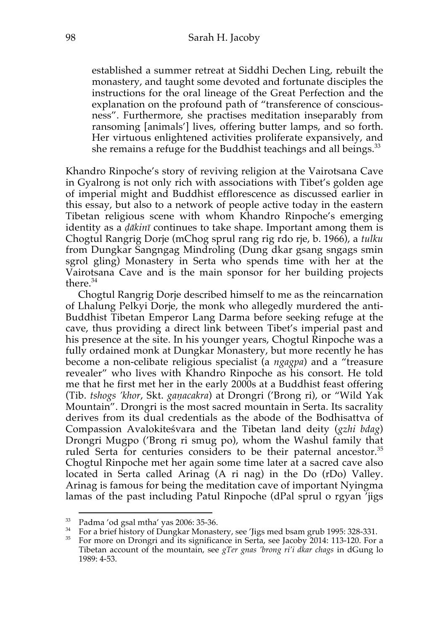established a summer retreat at Siddhi Dechen Ling, rebuilt the monastery, and taught some devoted and fortunate disciples the instructions for the oral lineage of the Great Perfection and the explanation on the profound path of "transference of consciousness". Furthermore, she practises meditation inseparably from ransoming [animals'] lives, offering butter lamps, and so forth. Her virtuous enlightened activities proliferate expansively, and she remains a refuge for the Buddhist teachings and all beings.<sup>33</sup>

Khandro Rinpoche's story of reviving religion at the Vairotsana Cave in Gyalrong is not only rich with associations with Tibet's golden age of imperial might and Buddhist efflorescence as discussed earlier in this essay, but also to a network of people active today in the eastern Tibetan religious scene with whom Khandro Rinpoche's emerging identity as a *ḍākinī* continues to take shape. Important among them is Chogtul Rangrig Dorje (mChog sprul rang rig rdo rje, b. 1966), a *tulku* from Dungkar Sangngag Mindroling (Dung dkar gsang sngags smin sgrol gling) Monastery in Serta who spends time with her at the Vairotsana Cave and is the main sponsor for her building projects there.<sup>34</sup>

Chogtul Rangrig Dorje described himself to me as the reincarnation of Lhalung Pelkyi Dorje, the monk who allegedly murdered the anti-Buddhist Tibetan Emperor Lang Darma before seeking refuge at the cave, thus providing a direct link between Tibet's imperial past and his presence at the site. In his younger years, Chogtul Rinpoche was a fully ordained monk at Dungkar Monastery, but more recently he has become a non-celibate religious specialist (a *ngagpa*) and a "treasure revealer" who lives with Khandro Rinpoche as his consort. He told me that he first met her in the early 2000s at a Buddhist feast offering (Tib. *tshogs 'khor*, Skt. *gaṇacakra*) at Drongri ('Brong ri), or "Wild Yak Mountain". Drongri is the most sacred mountain in Serta. Its sacrality derives from its dual credentials as the abode of the Bodhisattva of Compassion Avalokiteśvara and the Tibetan land deity (*gzhi bdag*) Drongri Mugpo ('Brong ri smug po), whom the Washul family that ruled Serta for centuries considers to be their paternal ancestor.<sup>35</sup> Chogtul Rinpoche met her again some time later at a sacred cave also located in Serta called Arinag (A ri nag) in the Do (rDo) Valley. Arinag is famous for being the meditation cave of important Nyingma lamas of the past including Patul Rinpoche (dPal sprul o rgyan 'jigs

 $\,^{33}$  Padma 'od gsal mtha' yas 2006: 35-36.<br> $\,^{34}$  For a brief history of Dungkar Monastery, see 'Jigs med bsam grub 1995: 328-331.

<sup>&</sup>lt;sup>35</sup> For more on Drongri and its significance in Serta, see Jacoby 2014: 113-120. For a Tibetan account of the mountain, see *gTer gnas 'brong ri'i dkar chags* in dGung lo 1989: 4-53.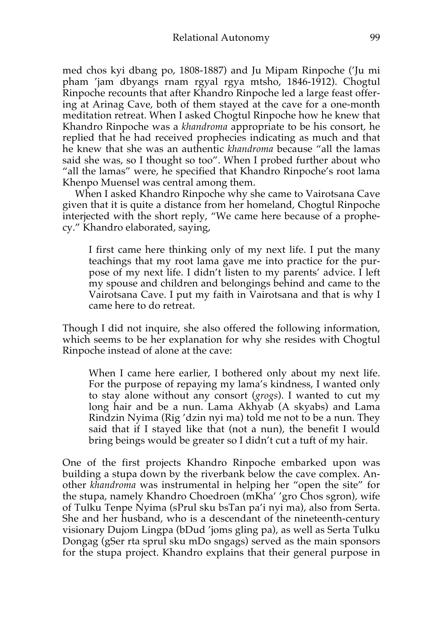med chos kyi dbang po, 1808-1887) and Ju Mipam Rinpoche ('Ju mi pham 'jam dbyangs rnam rgyal rgya mtsho, 1846-1912). Chogtul Rinpoche recounts that after Khandro Rinpoche led a large feast offering at Arinag Cave, both of them stayed at the cave for a one-month meditation retreat. When I asked Chogtul Rinpoche how he knew that Khandro Rinpoche was a *khandroma* appropriate to be his consort, he replied that he had received prophecies indicating as much and that he knew that she was an authentic *khandroma* because "all the lamas said she was, so I thought so too". When I probed further about who "all the lamas" were, he specified that Khandro Rinpoche's root lama Khenpo Muensel was central among them.

When I asked Khandro Rinpoche why she came to Vairotsana Cave given that it is quite a distance from her homeland, Chogtul Rinpoche interjected with the short reply, "We came here because of a prophecy." Khandro elaborated, saying,

I first came here thinking only of my next life. I put the many teachings that my root lama gave me into practice for the purpose of my next life. I didn't listen to my parents' advice. I left my spouse and children and belongings behind and came to the Vairotsana Cave. I put my faith in Vairotsana and that is why I came here to do retreat.

Though I did not inquire, she also offered the following information, which seems to be her explanation for why she resides with Chogtul Rinpoche instead of alone at the cave:

When I came here earlier, I bothered only about my next life. For the purpose of repaying my lama's kindness, I wanted only to stay alone without any consort (*grogs*). I wanted to cut my long hair and be a nun. Lama Akhyab (A skyabs) and Lama Rindzin Nyima (Rig 'dzin nyi ma) told me not to be a nun. They said that if I stayed like that (not a nun), the benefit I would bring beings would be greater so I didn't cut a tuft of my hair.

One of the first projects Khandro Rinpoche embarked upon was building a stupa down by the riverbank below the cave complex. Another *khandroma* was instrumental in helping her "open the site" for the stupa, namely Khandro Choedroen (mKha' 'gro Chos sgron), wife of Tulku Tenpe Nyima (sPrul sku bsTan pa'i nyi ma), also from Serta. She and her husband, who is a descendant of the nineteenth-century visionary Dujom Lingpa (bDud 'joms gling pa), as well as Serta Tulku Dongag (gSer rta sprul sku mDo sngags) served as the main sponsors for the stupa project. Khandro explains that their general purpose in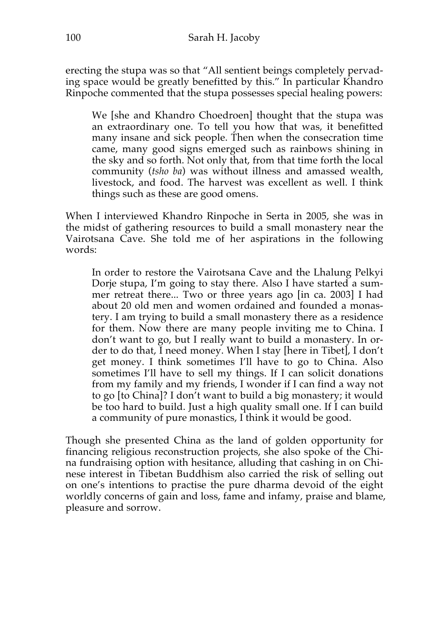erecting the stupa was so that "All sentient beings completely pervading space would be greatly benefitted by this." In particular Khandro Rinpoche commented that the stupa possesses special healing powers:

We [she and Khandro Choedroen] thought that the stupa was an extraordinary one. To tell you how that was, it benefitted many insane and sick people. Then when the consecration time came, many good signs emerged such as rainbows shining in the sky and so forth. Not only that, from that time forth the local community (*tsho ba*) was without illness and amassed wealth, livestock, and food. The harvest was excellent as well. I think things such as these are good omens.

When I interviewed Khandro Rinpoche in Serta in 2005, she was in the midst of gathering resources to build a small monastery near the Vairotsana Cave. She told me of her aspirations in the following words:

In order to restore the Vairotsana Cave and the Lhalung Pelkyi Dorje stupa, I'm going to stay there. Also I have started a summer retreat there... Two or three years ago [in ca. 2003] I had about 20 old men and women ordained and founded a monastery. I am trying to build a small monastery there as a residence for them. Now there are many people inviting me to China. I don't want to go, but I really want to build a monastery. In order to do that, I need money. When I stay [here in Tibet], I don't get money. I think sometimes I'll have to go to China. Also sometimes I'll have to sell my things. If I can solicit donations from my family and my friends, I wonder if I can find a way not to go [to China]? I don't want to build a big monastery; it would be too hard to build. Just a high quality small one. If I can build a community of pure monastics, I think it would be good.

Though she presented China as the land of golden opportunity for financing religious reconstruction projects, she also spoke of the China fundraising option with hesitance, alluding that cashing in on Chinese interest in Tibetan Buddhism also carried the risk of selling out on one's intentions to practise the pure dharma devoid of the eight worldly concerns of gain and loss, fame and infamy, praise and blame, pleasure and sorrow.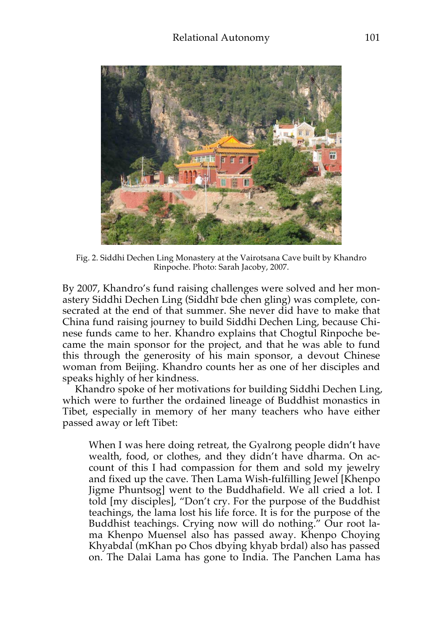

Fig. 2. Siddhi Dechen Ling Monastery at the Vairotsana Cave built by Khandro Rinpoche. Photo: Sarah Jacoby, 2007.

By 2007, Khandro's fund raising challenges were solved and her monastery Siddhi Dechen Ling (Siddhī bde chen gling) was complete, consecrated at the end of that summer. She never did have to make that China fund raising journey to build Siddhi Dechen Ling, because Chinese funds came to her. Khandro explains that Chogtul Rinpoche became the main sponsor for the project, and that he was able to fund this through the generosity of his main sponsor, a devout Chinese woman from Beijing. Khandro counts her as one of her disciples and speaks highly of her kindness.

Khandro spoke of her motivations for building Siddhi Dechen Ling, which were to further the ordained lineage of Buddhist monastics in Tibet, especially in memory of her many teachers who have either passed away or left Tibet:

When I was here doing retreat, the Gyalrong people didn't have wealth, food, or clothes, and they didn't have dharma. On account of this I had compassion for them and sold my jewelry and fixed up the cave. Then Lama Wish-fulfilling Jewel [Khenpo Jigme Phuntsog] went to the Buddhafield. We all cried a lot. I told [my disciples], "Don't cry. For the purpose of the Buddhist teachings, the lama lost his life force. It is for the purpose of the Buddhist teachings. Crying now will do nothing." Our root lama Khenpo Muensel also has passed away. Khenpo Choying Khyabdal (mKhan po Chos dbying khyab brdal) also has passed on. The Dalai Lama has gone to India. The Panchen Lama has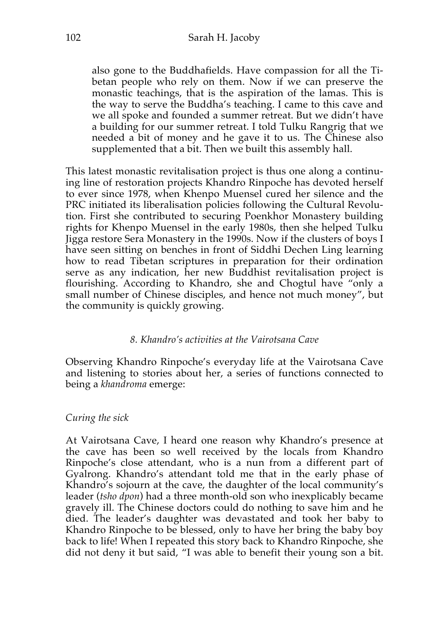also gone to the Buddhafields. Have compassion for all the Tibetan people who rely on them. Now if we can preserve the monastic teachings, that is the aspiration of the lamas. This is the way to serve the Buddha's teaching. I came to this cave and we all spoke and founded a summer retreat. But we didn't have a building for our summer retreat. I told Tulku Rangrig that we needed a bit of money and he gave it to us. The Chinese also supplemented that a bit. Then we built this assembly hall.

This latest monastic revitalisation project is thus one along a continuing line of restoration projects Khandro Rinpoche has devoted herself to ever since 1978, when Khenpo Muensel cured her silence and the PRC initiated its liberalisation policies following the Cultural Revolution. First she contributed to securing Poenkhor Monastery building rights for Khenpo Muensel in the early 1980s, then she helped Tulku Jigga restore Sera Monastery in the 1990s. Now if the clusters of boys I have seen sitting on benches in front of Siddhi Dechen Ling learning how to read Tibetan scriptures in preparation for their ordination serve as any indication, her new Buddhist revitalisation project is flourishing. According to Khandro, she and Chogtul have "only a small number of Chinese disciples, and hence not much money", but the community is quickly growing.

### *8. Khandro's activities at the Vairotsana Cave*

Observing Khandro Rinpoche's everyday life at the Vairotsana Cave and listening to stories about her, a series of functions connected to being a *khandroma* emerge:

## *Curing the sick*

At Vairotsana Cave, I heard one reason why Khandro's presence at the cave has been so well received by the locals from Khandro Rinpoche's close attendant, who is a nun from a different part of Gyalrong. Khandro's attendant told me that in the early phase of Khandro's sojourn at the cave, the daughter of the local community's leader (*tsho dpon*) had a three month-old son who inexplicably became gravely ill. The Chinese doctors could do nothing to save him and he died. The leader's daughter was devastated and took her baby to Khandro Rinpoche to be blessed, only to have her bring the baby boy back to life! When I repeated this story back to Khandro Rinpoche, she did not deny it but said, "I was able to benefit their young son a bit.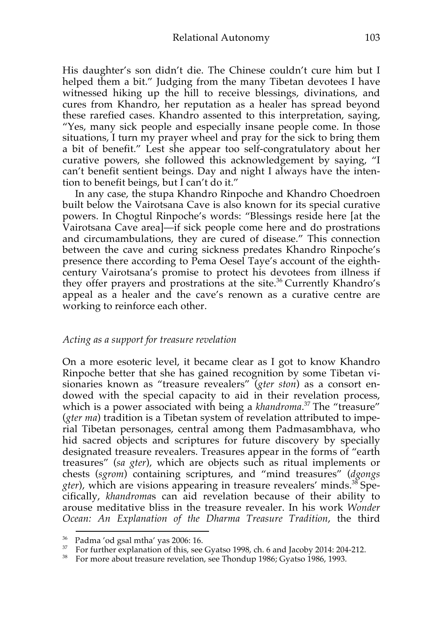His daughter's son didn't die. The Chinese couldn't cure him but I helped them a bit." Judging from the many Tibetan devotees I have witnessed hiking up the hill to receive blessings, divinations, and cures from Khandro, her reputation as a healer has spread beyond these rarefied cases. Khandro assented to this interpretation, saying, "Yes, many sick people and especially insane people come. In those situations, I turn my prayer wheel and pray for the sick to bring them a bit of benefit." Lest she appear too self-congratulatory about her curative powers, she followed this acknowledgement by saying, "I can't benefit sentient beings. Day and night I always have the intention to benefit beings, but I can't do it."

In any case, the stupa Khandro Rinpoche and Khandro Choedroen built below the Vairotsana Cave is also known for its special curative powers. In Chogtul Rinpoche's words: "Blessings reside here [at the Vairotsana Cave area]—if sick people come here and do prostrations and circumambulations, they are cured of disease." This connection between the cave and curing sickness predates Khandro Rinpoche's presence there according to Pema Oesel Taye's account of the eighthcentury Vairotsana's promise to protect his devotees from illness if they offer prayers and prostrations at the site.<sup>36</sup> Currently Khandro's appeal as a healer and the cave's renown as a curative centre are working to reinforce each other.

#### *Acting as a support for treasure revelation*

On a more esoteric level, it became clear as I got to know Khandro Rinpoche better that she has gained recognition by some Tibetan visionaries known as "treasure revealers" (*gter ston*) as a consort endowed with the special capacity to aid in their revelation process, which is a power associated with being a *khandroma*. <sup>37</sup> The "treasure" (*gter ma*) tradition is a Tibetan system of revelation attributed to imperial Tibetan personages, central among them Padmasambhava, who hid sacred objects and scriptures for future discovery by specially designated treasure revealers. Treasures appear in the forms of "earth treasures" (*sa gter*), which are objects such as ritual implements or chests (*sgrom*) containing scriptures, and "mind treasures" (*dgongs gter*), which are visions appearing in treasure revealers' minds.<sup>38</sup> Specifically, *khandroma*s can aid revelation because of their ability to arouse meditative bliss in the treasure revealer. In his work *Wonder Ocean: An Explanation of the Dharma Treasure Tradition*, the third

<sup>&</sup>lt;sup>36</sup> Padma 'od gsal mtha' yas 2006: 16.<br><sup>37</sup> For further explanation of this, see Gyatso 1998, ch. 6 and Jacoby 2014: 204-212.

<sup>&</sup>lt;sup>38</sup> For more about treasure revelation, see Thondup 1986; Gyatso 1986, 1993.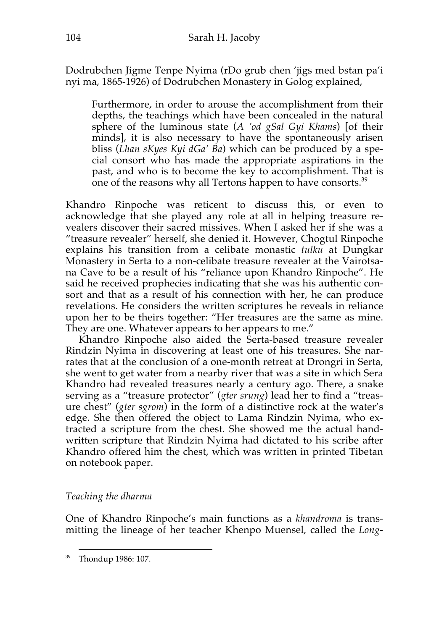Dodrubchen Jigme Tenpe Nyima (rDo grub chen 'jigs med bstan pa'i nyi ma, 1865-1926) of Dodrubchen Monastery in Golog explained,

Furthermore, in order to arouse the accomplishment from their depths, the teachings which have been concealed in the natural sphere of the luminous state (*A 'od gSal Gyi Khams*) [of their minds], it is also necessary to have the spontaneously arisen bliss (*Lhan sKyes Kyi dGa' Ba*) which can be produced by a special consort who has made the appropriate aspirations in the past, and who is to become the key to accomplishment. That is one of the reasons why all Tertons happen to have consorts.<sup>39</sup>

Khandro Rinpoche was reticent to discuss this, or even to acknowledge that she played any role at all in helping treasure revealers discover their sacred missives. When I asked her if she was a "treasure revealer" herself, she denied it. However, Chogtul Rinpoche explains his transition from a celibate monastic *tulku* at Dungkar Monastery in Serta to a non-celibate treasure revealer at the Vairotsana Cave to be a result of his "reliance upon Khandro Rinpoche". He said he received prophecies indicating that she was his authentic consort and that as a result of his connection with her, he can produce revelations. He considers the written scriptures he reveals in reliance upon her to be theirs together: "Her treasures are the same as mine. They are one. Whatever appears to her appears to me."

Khandro Rinpoche also aided the Serta-based treasure revealer Rindzin Nyima in discovering at least one of his treasures. She narrates that at the conclusion of a one-month retreat at Drongri in Serta, she went to get water from a nearby river that was a site in which Sera Khandro had revealed treasures nearly a century ago. There, a snake serving as a "treasure protector" (*gter srung*) lead her to find a "treasure chest" (*gter sgrom*) in the form of a distinctive rock at the water's edge. She then offered the object to Lama Rindzin Nyima, who extracted a scripture from the chest. She showed me the actual handwritten scripture that Rindzin Nyima had dictated to his scribe after Khandro offered him the chest, which was written in printed Tibetan on notebook paper.

# *Teaching the dharma*

One of Khandro Rinpoche's main functions as a *khandroma* is transmitting the lineage of her teacher Khenpo Muensel, called the *Long-*

 <sup>39</sup> Thondup 1986: 107.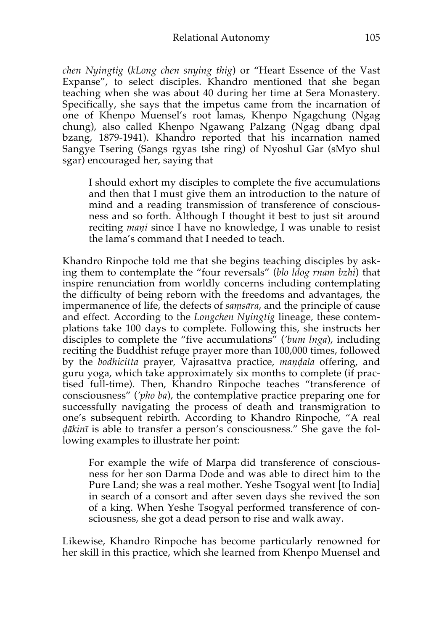*chen Nyingtig* (*kLong chen snying thig*) or "Heart Essence of the Vast Expanse", to select disciples. Khandro mentioned that she began teaching when she was about 40 during her time at Sera Monastery. Specifically, she says that the impetus came from the incarnation of one of Khenpo Muensel's root lamas, Khenpo Ngagchung (Ngag chung), also called Khenpo Ngawang Palzang (Ngag dbang dpal bzang, 1879-1941). Khandro reported that his incarnation named Sangye Tsering (Sangs rgyas tshe ring) of Nyoshul Gar (sMyo shul sgar) encouraged her, saying that

I should exhort my disciples to complete the five accumulations and then that I must give them an introduction to the nature of mind and a reading transmission of transference of consciousness and so forth. Although I thought it best to just sit around reciting *maṇi* since I have no knowledge, I was unable to resist the lama's command that I needed to teach.

Khandro Rinpoche told me that she begins teaching disciples by asking them to contemplate the "four reversals" (*blo ldog rnam bzhi*) that inspire renunciation from worldly concerns including contemplating the difficulty of being reborn with the freedoms and advantages, the impermanence of life, the defects of *saṃsāra*, and the principle of cause and effect. According to the *Longchen Nyingtig* lineage, these contemplations take 100 days to complete. Following this, she instructs her disciples to complete the "five accumulations" (*'bum lnga*), including reciting the Buddhist refuge prayer more than 100,000 times, followed by the *bodhicitta* prayer, Vajrasattva practice, *maṇḍala* offering, and guru yoga, which take approximately six months to complete (if practised full-time). Then, Khandro Rinpoche teaches "transference of consciousness" (*'pho ba*), the contemplative practice preparing one for successfully navigating the process of death and transmigration to one's subsequent rebirth. According to Khandro Rinpoche, "A real *ḍākinī* is able to transfer a person's consciousness." She gave the following examples to illustrate her point:

For example the wife of Marpa did transference of consciousness for her son Darma Dode and was able to direct him to the Pure Land; she was a real mother. Yeshe Tsogyal went [to India] in search of a consort and after seven days she revived the son of a king. When Yeshe Tsogyal performed transference of consciousness, she got a dead person to rise and walk away.

Likewise, Khandro Rinpoche has become particularly renowned for her skill in this practice, which she learned from Khenpo Muensel and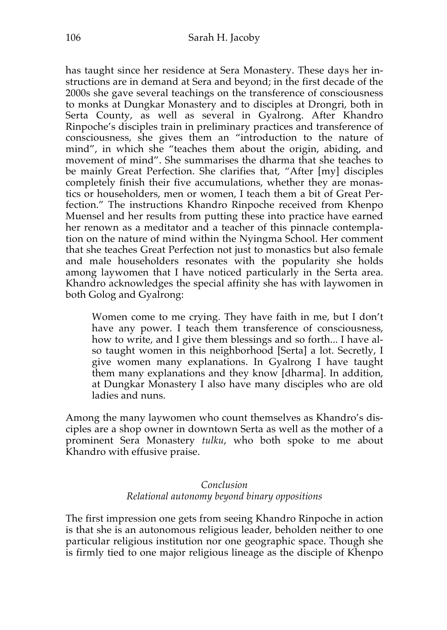has taught since her residence at Sera Monastery. These days her instructions are in demand at Sera and beyond; in the first decade of the 2000s she gave several teachings on the transference of consciousness to monks at Dungkar Monastery and to disciples at Drongri, both in Serta County, as well as several in Gyalrong. After Khandro Rinpoche's disciples train in preliminary practices and transference of consciousness, she gives them an "introduction to the nature of mind", in which she "teaches them about the origin, abiding, and movement of mind". She summarises the dharma that she teaches to be mainly Great Perfection. She clarifies that, "After [my] disciples completely finish their five accumulations, whether they are monastics or householders, men or women, I teach them a bit of Great Perfection." The instructions Khandro Rinpoche received from Khenpo Muensel and her results from putting these into practice have earned her renown as a meditator and a teacher of this pinnacle contemplation on the nature of mind within the Nyingma School. Her comment that she teaches Great Perfection not just to monastics but also female and male householders resonates with the popularity she holds among laywomen that I have noticed particularly in the Serta area. Khandro acknowledges the special affinity she has with laywomen in both Golog and Gyalrong:

Women come to me crying. They have faith in me, but I don't have any power. I teach them transference of consciousness, how to write, and I give them blessings and so forth... I have also taught women in this neighborhood [Serta] a lot. Secretly, I give women many explanations. In Gyalrong I have taught them many explanations and they know [dharma]. In addition, at Dungkar Monastery I also have many disciples who are old ladies and nuns.

Among the many laywomen who count themselves as Khandro's disciples are a shop owner in downtown Serta as well as the mother of a prominent Sera Monastery *tulku*, who both spoke to me about Khandro with effusive praise.

# *Conclusion Relational autonomy beyond binary oppositions*

The first impression one gets from seeing Khandro Rinpoche in action is that she is an autonomous religious leader, beholden neither to one particular religious institution nor one geographic space. Though she is firmly tied to one major religious lineage as the disciple of Khenpo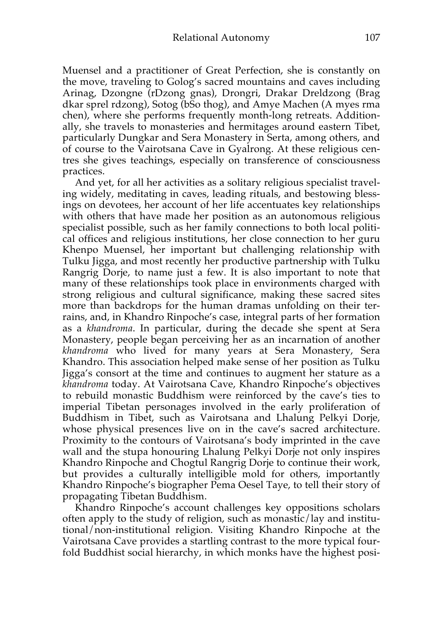Muensel and a practitioner of Great Perfection, she is constantly on the move, traveling to Golog's sacred mountains and caves including Arinag, Dzongne (rDzong gnas), Drongri, Drakar Dreldzong (Brag dkar sprel rdzong), Sotog (bSo thog), and Amye Machen (A myes rma chen), where she performs frequently month-long retreats. Additionally, she travels to monasteries and hermitages around eastern Tibet, particularly Dungkar and Sera Monastery in Serta, among others, and of course to the Vairotsana Cave in Gyalrong. At these religious centres she gives teachings, especially on transference of consciousness practices.

And yet, for all her activities as a solitary religious specialist traveling widely, meditating in caves, leading rituals, and bestowing blessings on devotees, her account of her life accentuates key relationships with others that have made her position as an autonomous religious specialist possible, such as her family connections to both local political offices and religious institutions, her close connection to her guru Khenpo Muensel, her important but challenging relationship with Tulku Jigga, and most recently her productive partnership with Tulku Rangrig Dorje, to name just a few. It is also important to note that many of these relationships took place in environments charged with strong religious and cultural significance, making these sacred sites more than backdrops for the human dramas unfolding on their terrains, and, in Khandro Rinpoche's case, integral parts of her formation as a *khandroma*. In particular, during the decade she spent at Sera Monastery, people began perceiving her as an incarnation of another *khandroma* who lived for many years at Sera Monastery, Sera Khandro. This association helped make sense of her position as Tulku Jigga's consort at the time and continues to augment her stature as a *khandroma* today. At Vairotsana Cave, Khandro Rinpoche's objectives to rebuild monastic Buddhism were reinforced by the cave's ties to imperial Tibetan personages involved in the early proliferation of Buddhism in Tibet, such as Vairotsana and Lhalung Pelkyi Dorje, whose physical presences live on in the cave's sacred architecture. Proximity to the contours of Vairotsana's body imprinted in the cave wall and the stupa honouring Lhalung Pelkyi Dorje not only inspires Khandro Rinpoche and Chogtul Rangrig Dorje to continue their work, but provides a culturally intelligible mold for others, importantly Khandro Rinpoche's biographer Pema Oesel Taye, to tell their story of propagating Tibetan Buddhism.

Khandro Rinpoche's account challenges key oppositions scholars often apply to the study of religion, such as monastic/lay and institutional/non-institutional religion. Visiting Khandro Rinpoche at the Vairotsana Cave provides a startling contrast to the more typical fourfold Buddhist social hierarchy, in which monks have the highest posi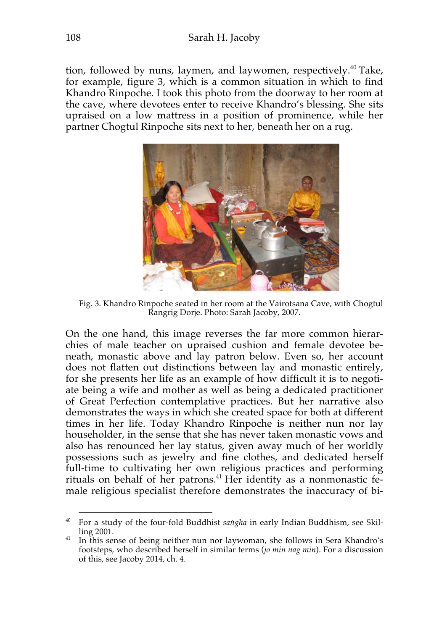tion, followed by nuns, laymen, and laywomen, respectively. $40$  Take, for example, figure 3, which is a common situation in which to find Khandro Rinpoche. I took this photo from the doorway to her room at the cave, where devotees enter to receive Khandro's blessing. She sits upraised on a low mattress in a position of prominence, while her partner Chogtul Rinpoche sits next to her, beneath her on a rug.



Fig. 3. Khandro Rinpoche seated in her room at the Vairotsana Cave, with Chogtul Rangrig Dorje. Photo: Sarah Jacoby, 2007.

On the one hand, this image reverses the far more common hierarchies of male teacher on upraised cushion and female devotee beneath, monastic above and lay patron below. Even so, her account does not flatten out distinctions between lay and monastic entirely, for she presents her life as an example of how difficult it is to negotiate being a wife and mother as well as being a dedicated practitioner of Great Perfection contemplative practices. But her narrative also demonstrates the ways in which she created space for both at different times in her life. Today Khandro Rinpoche is neither nun nor lay householder, in the sense that she has never taken monastic vows and also has renounced her lay status, given away much of her worldly possessions such as jewelry and fine clothes, and dedicated herself full-time to cultivating her own religious practices and performing rituals on behalf of her patrons.<sup>41</sup> Her identity as a nonmonastic female religious specialist therefore demonstrates the inaccuracy of bi-

<sup>&</sup>lt;sup>40</sup> For a study of the four-fold Buddhist *sangha* in early Indian Buddhism, see Skilling 2001.

<sup>&</sup>lt;sup>41</sup> In this sense of being neither nun nor laywoman, she follows in Sera Khandro's footsteps, who described herself in similar terms (*jo min nag min*). For a discussion of this, see Jacoby 2014, ch. 4.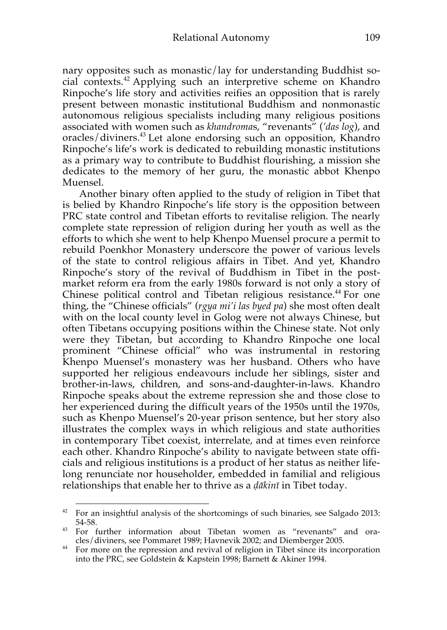nary opposites such as monastic/lay for understanding Buddhist social contexts.<sup>42</sup> Applying such an interpretive scheme on Khandro Rinpoche's life story and activities reifies an opposition that is rarely present between monastic institutional Buddhism and nonmonastic autonomous religious specialists including many religious positions associated with women such as *khandroma*s, "revenants" (*'das log*), and oracles/diviners.<sup>43</sup> Let alone endorsing such an opposition, Khandro Rinpoche's life's work is dedicated to rebuilding monastic institutions as a primary way to contribute to Buddhist flourishing, a mission she dedicates to the memory of her guru, the monastic abbot Khenpo Muensel.

Another binary often applied to the study of religion in Tibet that is belied by Khandro Rinpoche's life story is the opposition between PRC state control and Tibetan efforts to revitalise religion. The nearly complete state repression of religion during her youth as well as the efforts to which she went to help Khenpo Muensel procure a permit to rebuild Poenkhor Monastery underscore the power of various levels of the state to control religious affairs in Tibet. And yet, Khandro Rinpoche's story of the revival of Buddhism in Tibet in the postmarket reform era from the early 1980s forward is not only a story of Chinese political control and Tibetan religious resistance.<sup>44</sup> For one thing, the "Chinese officials" (*rgya mi'i las byed pa*) she most often dealt with on the local county level in Golog were not always Chinese, but often Tibetans occupying positions within the Chinese state. Not only were they Tibetan, but according to Khandro Rinpoche one local prominent "Chinese official" who was instrumental in restoring Khenpo Muensel's monastery was her husband. Others who have supported her religious endeavours include her siblings, sister and brother-in-laws, children, and sons-and-daughter-in-laws. Khandro Rinpoche speaks about the extreme repression she and those close to her experienced during the difficult years of the 1950s until the 1970s, such as Khenpo Muensel's 20-year prison sentence, but her story also illustrates the complex ways in which religious and state authorities in contemporary Tibet coexist, interrelate, and at times even reinforce each other. Khandro Rinpoche's ability to navigate between state officials and religious institutions is a product of her status as neither lifelong renunciate nor householder, embedded in familial and religious relationships that enable her to thrive as a *ḍākinī* in Tibet today.

 $42$  For an insightful analysis of the shortcomings of such binaries, see Salgado 2013:

<sup>54-58. 43</sup> For further information about Tibetan women as "revenants" and oracles/diviners, see Pommaret 1989; Havnevik 2002; and Diemberger 2005.

<sup>&</sup>lt;sup>44</sup> For more on the repression and revival of religion in Tibet since its incorporation into the PRC, see Goldstein & Kapstein 1998; Barnett & Akiner 1994.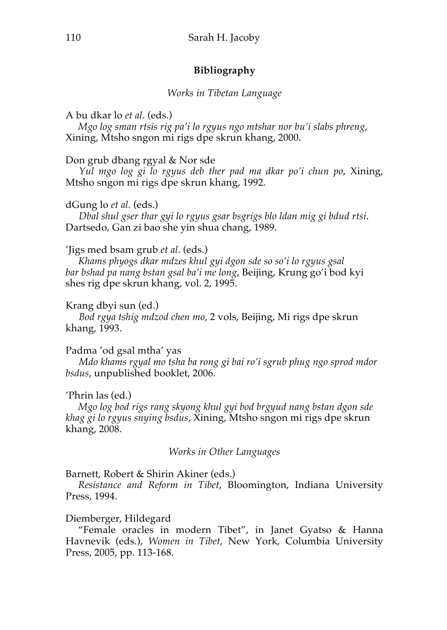# **Bibliography**

### *Works in Tibetan Language*

## A bu dkar lo *et al*. (eds.)

*Mgo log sman rtsis rig pa'i lo rgyus ngo mtshar nor bu'i slabs phreng*, Xining, Mtsho sngon mi rigs dpe skrun khang, 2000.

## Don grub dbang rgyal & Nor sde

*Yul mgo log gi lo rgyus deb ther pad ma dkar po'i chun po*, Xining, Mtsho sngon mi rigs dpe skrun khang, 1992.

## dGung lo *et al.* (eds.)

*Dbal shul gser thar gyi lo rgyus gsar bsgrigs blo ldan mig gi bdud rtsi*. Dartsedo, Gan zi bao she yin shua chang, 1989.

## 'Jigs med bsam grub *et al*. (eds.)

*Khams phyogs dkar mdzes khul gyi dgon sde so so'i lo rgyus gsal bar bshad pa nang bstan gsal ba'i me long*, Beijing, Krung go'i bod kyi shes rig dpe skrun khang, vol. 2, 1995.

### Krang dbyi sun (ed.)

*Bod rgya tshig mdzod chen mo*, 2 vols, Beijing, Mi rigs dpe skrun khang, 1993.

### Padma 'od gsal mtha' yas

*Mdo khams rgyal mo tsha ba rong gi bai ro'i sgrub phug ngo sprod mdor bsdus*, unpublished booklet, 2006.

# 'Phrin las (ed.)

*Mgo log bod rigs rang skyong khul gyi bod brgyud nang bstan dgon sde khag gi lo rgyus snying bsdus*, Xining, Mtsho sngon mi rigs dpe skrun khang, 2008.

### *Works in Other Languages*

# Barnett, Robert & Shirin Akiner (eds.)

*Resistance and Reform in Tibet*, Bloomington, Indiana University Press, 1994.

# Diemberger, Hildegard

"Female oracles in modern Tibet", in Janet Gyatso & Hanna Havnevik (eds.), *Women in Tibet*, New York, Columbia University Press, 2005, pp. 113-168.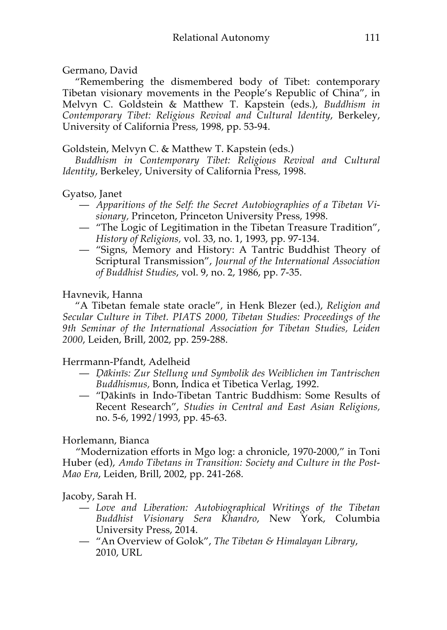# Germano, David

"Remembering the dismembered body of Tibet: contemporary Tibetan visionary movements in the People's Republic of China", in Melvyn C. Goldstein & Matthew T. Kapstein (eds.), *Buddhism in Contemporary Tibet: Religious Revival and Cultural Identity*, Berkeley, University of California Press, 1998, pp. 53-94.

# Goldstein, Melvyn C. & Matthew T. Kapstein (eds.)

*Buddhism in Contemporary Tibet: Religious Revival and Cultural Identity*, Berkeley, University of California Press, 1998.

# Gyatso, Janet

- *Apparitions of the Self: the Secret Autobiographies of a Tibetan Visionary,* Princeton, Princeton University Press, 1998.
- "The Logic of Legitimation in the Tibetan Treasure Tradition", *History of Religions,* vol. 33, no. 1, 1993, pp. 97-134.
- "Signs, Memory and History: A Tantric Buddhist Theory of Scriptural Transmission", *Journal of the International Association of Buddhist Studies*, vol. 9, no. 2, 1986, pp. 7-35.

# Havnevik, Hanna

"A Tibetan female state oracle", in Henk Blezer (ed.), *Religion and Secular Culture in Tibet. PIATS 2000, Tibetan Studies: Proceedings of the 9th Seminar of the International Association for Tibetan Studies, Leiden 2000*, Leiden, Brill, 2002, pp. 259-288.

# Herrmann-Pfandt, Adelheid

- *Ḍākinīs: Zur Stellung und Symbolik des Weiblichen im Tantrischen Buddhismus,* Bonn, Indica et Tibetica Verlag, 1992.
- "Ḍākinīs in Indo-Tibetan Tantric Buddhism: Some Results of Recent Research", *Studies in Central and East Asian Religions,*  no. 5-6, 1992/1993, pp. 45-63.

# Horlemann, Bianca

"Modernization efforts in Mgo log: a chronicle, 1970-2000," in Toni Huber (ed), *Amdo Tibetans in Transition: Society and Culture in the Post-Mao Era*, Leiden, Brill, 2002, pp. 241-268.

# Jacoby, Sarah H.

- *Love and Liberation: Autobiographical Writings of the Tibetan Buddhist Visionary Sera Khandro*, New York, Columbia University Press, 2014.
- "An Overview of Golok", *The Tibetan & Himalayan Library*, 2010, URL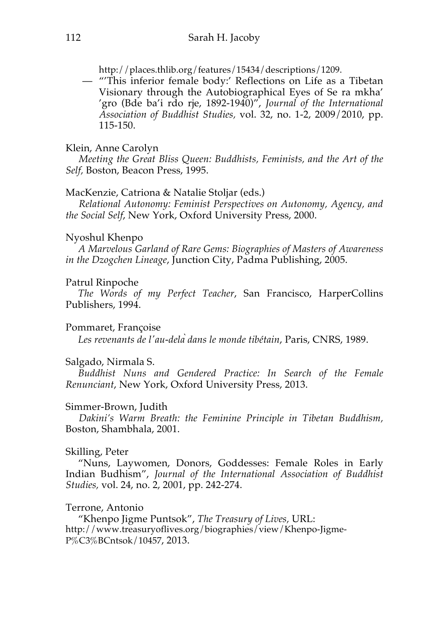http://places.thlib.org/features/15434/descriptions/1209.

— "'This inferior female body:' Reflections on Life as a Tibetan Visionary through the Autobiographical Eyes of Se ra mkha' 'gro (Bde ba'i rdo rje, 1892-1940)", *Journal of the International Association of Buddhist Studies,* vol. 32, no. 1-2, 2009/2010, pp. 115-150.

## Klein, Anne Carolyn

*Meeting the Great Bliss Queen: Buddhists, Feminists, and the Art of the Self,* Boston, Beacon Press, 1995.

# MacKenzie, Catriona & Natalie Stoljar (eds.)

*Relational Autonomy: Feminist Perspectives on Autonomy, Agency, and the Social Self*, New York, Oxford University Press, 2000.

# Nyoshul Khenpo

*A Marvelous Garland of Rare Gems: Biographies of Masters of Awareness in the Dzogchen Lineage*, Junction City, Padma Publishing, 2005.

# Patrul Rinpoche

*The Words of my Perfect Teacher*, San Francisco, HarperCollins Publishers, 1994.

# Pommaret, Françoise

*Les revenants de l'au-delàdans le monde tibétain*, Paris, CNRS, 1989.

# Salgado, Nirmala S.

*Buddhist Nuns and Gendered Practice: In Search of the Female Renunciant*, New York, Oxford University Press, 2013.

# Simmer-Brown, Judith

*Dakini's Warm Breath: the Feminine Principle in Tibetan Buddhism,*  Boston, Shambhala, 2001.

# Skilling, Peter

"Nuns, Laywomen, Donors, Goddesses: Female Roles in Early Indian Budhism", *Journal of the International Association of Buddhist Studies,* vol. 24, no. 2, 2001, pp. 242-274.

# Terrone, Antonio

"Khenpo Jigme Puntsok", *The Treasury of Lives,* URL: http://www.treasuryoflives.org/biographies/view/Khenpo-Jigme-P%C3%BCntsok/10457, 2013.